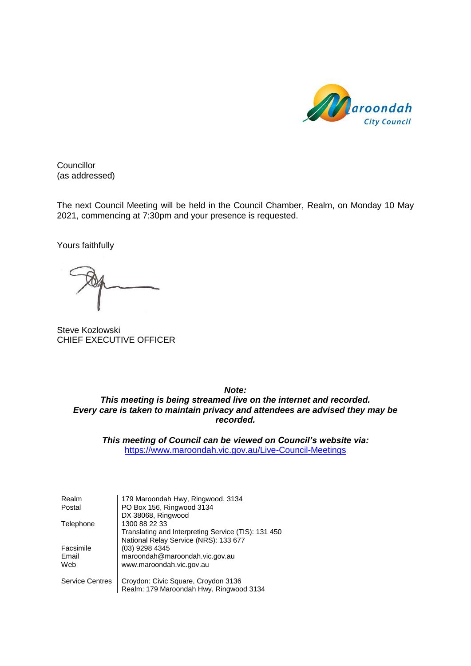

**Councillor** (as addressed)

The next Council Meeting will be held in the Council Chamber, Realm, on Monday 10 May 2021, commencing at 7:30pm and your presence is requested.

Yours faithfully

Steve Kozlowski CHIEF EXECUTIVE OFFICER

*Note:*

*This meeting is being streamed live on the internet and recorded. Every care is taken to maintain privacy and attendees are advised they may be recorded.*

*This meeting of Council can be viewed on Council's website via:* <https://www.maroondah.vic.gov.au/Live-Council-Meetings>

| Realm                  | 179 Maroondah Hwy, Ringwood, 3134                   |
|------------------------|-----------------------------------------------------|
| Postal                 | PO Box 156, Ringwood 3134                           |
|                        | DX 38068, Ringwood                                  |
| Telephone              | 1300 88 22 33                                       |
|                        | Translating and Interpreting Service (TIS): 131 450 |
|                        | National Relay Service (NRS): 133 677               |
| Facsimile              | (03) 9298 4345                                      |
| Email                  | maroondah@maroondah.vic.gov.au                      |
| Web                    | www.maroondah.vic.gov.au                            |
| <b>Service Centres</b> | Croydon: Civic Square, Croydon 3136                 |
|                        | Realm: 179 Maroondah Hwy, Ringwood 3134             |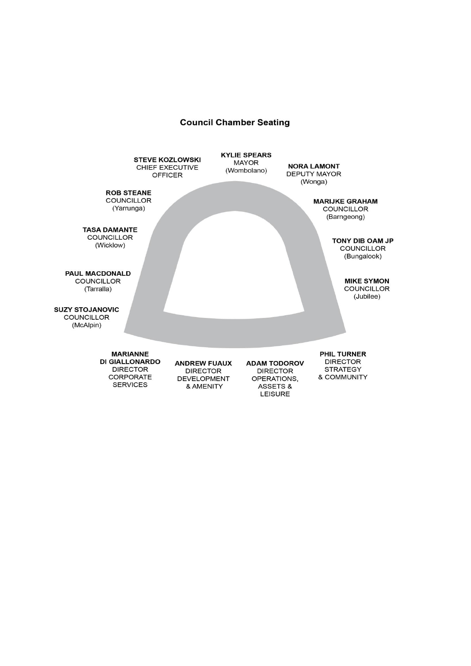### **Council Chamber Seating**

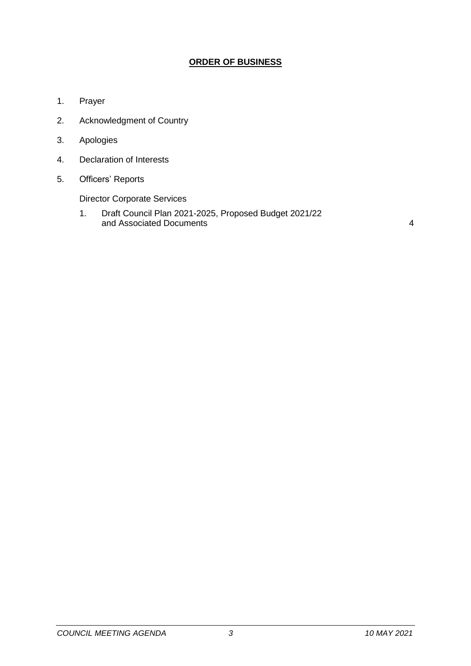# **ORDER OF BUSINESS**

- 1. Prayer
- 2. Acknowledgment of Country
- 3. Apologies
- 4. Declaration of Interests
- 5. Officers' Reports

Director Corporate Services

1. Draft Council Plan 2021-2025, Proposed Budget 2021/22 and Associated Documents [4](#page-3-0)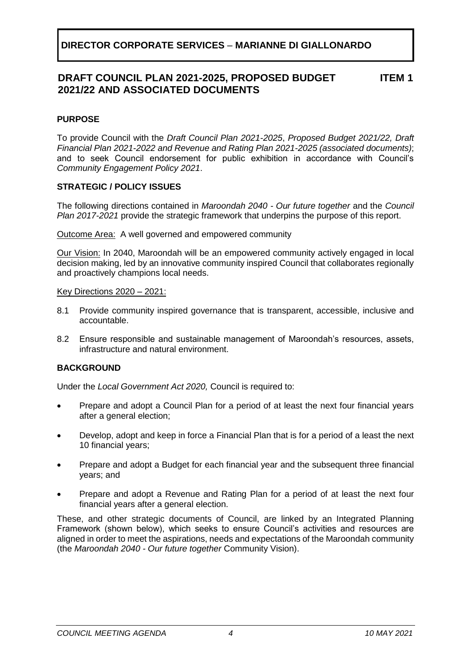#### **DRAFT COUNCIL PLAN 2021-2025, PROPOSED BUDGET 2021/22 AND ASSOCIATED DOCUMENTS ITEM 1**

# <span id="page-3-0"></span>**PURPOSE**

To provide Council with the *Draft Council Plan 2021-2025*, *Proposed Budget 2021/22, Draft Financial Plan 2021-2022 and Revenue and Rating Plan 2021-2025 (associated documents)*; and to seek Council endorsement for public exhibition in accordance with Council's *Community Engagement Policy 2021*.

# **STRATEGIC / POLICY ISSUES**

The following directions contained in *Maroondah 2040 - Our future together* and the *Council Plan 2017-2021* provide the strategic framework that underpins the purpose of this report.

Outcome Area:A well governed and empowered community

Our Vision: In 2040, Maroondah will be an empowered community actively engaged in local decision making, led by an innovative community inspired Council that collaborates regionally and proactively champions local needs.

## Key Directions 2020 – 2021:

- 8.1 Provide community inspired governance that is transparent, accessible, inclusive and accountable.
- 8.2 Ensure responsible and sustainable management of Maroondah's resources, assets, infrastructure and natural environment.

## **BACKGROUND**

Under the *Local Government Act 2020,* Council is required to:

- Prepare and adopt a Council Plan for a period of at least the next four financial years after a general election;
- Develop, adopt and keep in force a Financial Plan that is for a period of a least the next 10 financial years;
- Prepare and adopt a Budget for each financial year and the subsequent three financial years; and
- Prepare and adopt a Revenue and Rating Plan for a period of at least the next four financial years after a general election.

These, and other strategic documents of Council, are linked by an Integrated Planning Framework (shown below), which seeks to ensure Council's activities and resources are aligned in order to meet the aspirations, needs and expectations of the Maroondah community (the *Maroondah 2040 - Our future together* Community Vision).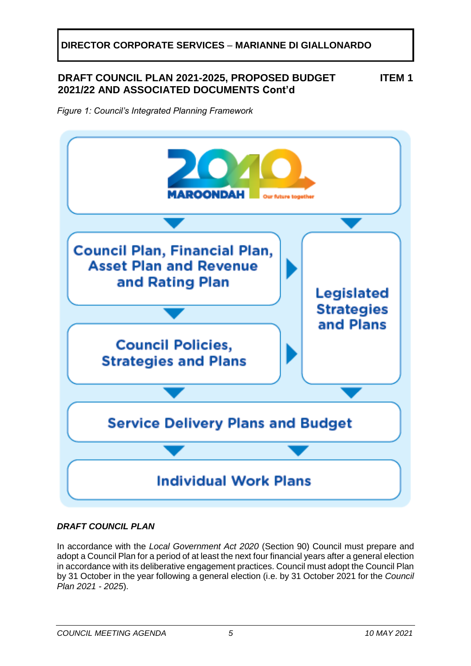# **DRAFT COUNCIL PLAN 2021-2025, PROPOSED BUDGET 2021/22 AND ASSOCIATED DOCUMENTS Cont'd**

**ITEM 1**

*Figure 1: Council's Integrated Planning Framework*



# *DRAFT COUNCIL PLAN*

In accordance with the *Local Government Act 2020* (Section 90) Council must prepare and adopt a Council Plan for a period of at least the next four financial years after a general election in accordance with its deliberative engagement practices. Council must adopt the Council Plan by 31 October in the year following a general election (i.e. by 31 October 2021 for the *Council Plan 2021 - 2025*).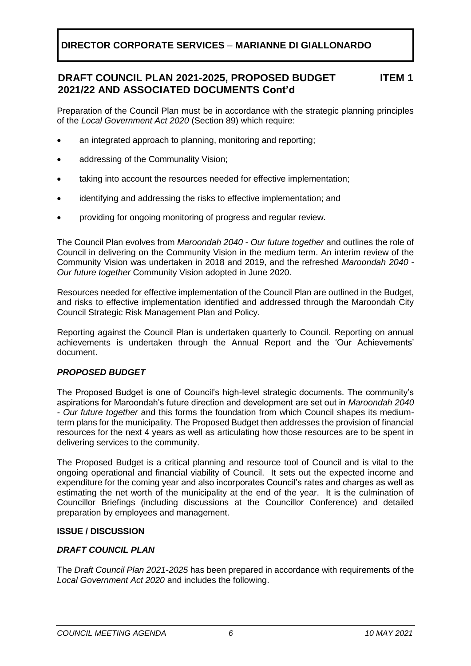#### **DRAFT COUNCIL PLAN 2021-2025, PROPOSED BUDGET 2021/22 AND ASSOCIATED DOCUMENTS Cont'd ITEM 1**

Preparation of the Council Plan must be in accordance with the strategic planning principles of the *Local Government Act 2020* (Section 89) which require:

- an integrated approach to planning, monitoring and reporting;
- addressing of the Communality Vision;
- taking into account the resources needed for effective implementation;
- identifying and addressing the risks to effective implementation; and
- providing for ongoing monitoring of progress and regular review.

The Council Plan evolves from *Maroondah 2040 - Our future together* and outlines the role of Council in delivering on the Community Vision in the medium term. An interim review of the Community Vision was undertaken in 2018 and 2019, and the refreshed *Maroondah 2040 - Our future together* Community Vision adopted in June 2020.

Resources needed for effective implementation of the Council Plan are outlined in the Budget, and risks to effective implementation identified and addressed through the Maroondah City Council Strategic Risk Management Plan and Policy.

Reporting against the Council Plan is undertaken quarterly to Council. Reporting on annual achievements is undertaken through the Annual Report and the 'Our Achievements' document.

# *PROPOSED BUDGET*

The Proposed Budget is one of Council's high-level strategic documents. The community's aspirations for Maroondah's future direction and development are set out in *Maroondah 2040 - Our future together* and this forms the foundation from which Council shapes its mediumterm plans for the municipality. The Proposed Budget then addresses the provision of financial resources for the next 4 years as well as articulating how those resources are to be spent in delivering services to the community.

The Proposed Budget is a critical planning and resource tool of Council and is vital to the ongoing operational and financial viability of Council. It sets out the expected income and expenditure for the coming year and also incorporates Council's rates and charges as well as estimating the net worth of the municipality at the end of the year. It is the culmination of Councillor Briefings (including discussions at the Councillor Conference) and detailed preparation by employees and management.

## **ISSUE / DISCUSSION**

# *DRAFT COUNCIL PLAN*

The *Draft Council Plan 2021-2025* has been prepared in accordance with requirements of the *Local Government Act 2020* and includes the following.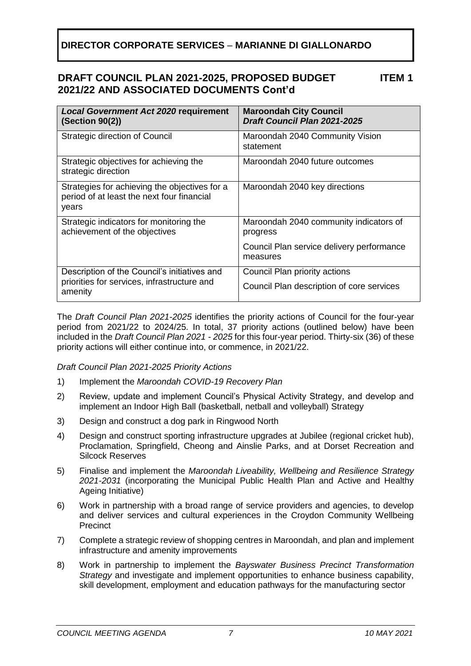#### **DRAFT COUNCIL PLAN 2021-2025, PROPOSED BUDGET 2021/22 AND ASSOCIATED DOCUMENTS Cont'd ITEM 1**

| <b>Local Government Act 2020 requirement</b><br>(Section 90(2))                                      | <b>Maroondah City Council</b><br><b>Draft Council Plan 2021-2025</b> |
|------------------------------------------------------------------------------------------------------|----------------------------------------------------------------------|
| Strategic direction of Council                                                                       | Maroondah 2040 Community Vision<br>statement                         |
| Strategic objectives for achieving the<br>strategic direction                                        | Maroondah 2040 future outcomes                                       |
| Strategies for achieving the objectives for a<br>period of at least the next four financial<br>years | Maroondah 2040 key directions                                        |
| Strategic indicators for monitoring the<br>achievement of the objectives                             | Maroondah 2040 community indicators of<br>progress                   |
|                                                                                                      | Council Plan service delivery performance<br>measures                |
| Description of the Council's initiatives and                                                         | Council Plan priority actions                                        |
| priorities for services, infrastructure and<br>amenity                                               | Council Plan description of core services                            |

The *Draft Council Plan 2021-2025* identifies the priority actions of Council for the four-year period from 2021/22 to 2024/25. In total, 37 priority actions (outlined below) have been included in the *Draft Council Plan 2021 - 2025* for this four-year period. Thirty-six (36) of these priority actions will either continue into, or commence, in 2021/22.

*Draft Council Plan 2021-2025 Priority Actions*

- 1) Implement the *Maroondah COVID-19 Recovery Plan*
- 2) Review, update and implement Council's Physical Activity Strategy, and develop and implement an Indoor High Ball (basketball, netball and volleyball) Strategy
- 3) Design and construct a dog park in Ringwood North
- 4) Design and construct sporting infrastructure upgrades at Jubilee (regional cricket hub), Proclamation, Springfield, Cheong and Ainslie Parks, and at Dorset Recreation and Silcock Reserves
- 5) Finalise and implement the *Maroondah Liveability, Wellbeing and Resilience Strategy 2021-2031* (incorporating the Municipal Public Health Plan and Active and Healthy Ageing Initiative)
- 6) Work in partnership with a broad range of service providers and agencies, to develop and deliver services and cultural experiences in the Croydon Community Wellbeing **Precinct**
- 7) Complete a strategic review of shopping centres in Maroondah, and plan and implement infrastructure and amenity improvements
- 8) Work in partnership to implement the *Bayswater Business Precinct Transformation Strategy* and investigate and implement opportunities to enhance business capability, skill development, employment and education pathways for the manufacturing sector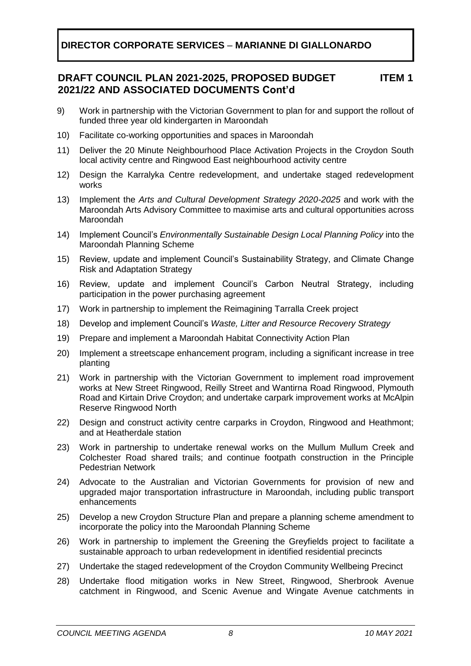#### **DRAFT COUNCIL PLAN 2021-2025, PROPOSED BUDGET 2021/22 AND ASSOCIATED DOCUMENTS Cont'd ITEM 1**

- 9) Work in partnership with the Victorian Government to plan for and support the rollout of funded three year old kindergarten in Maroondah
- 10) Facilitate co-working opportunities and spaces in Maroondah
- 11) Deliver the 20 Minute Neighbourhood Place Activation Projects in the Croydon South local activity centre and Ringwood East neighbourhood activity centre
- 12) Design the Karralyka Centre redevelopment, and undertake staged redevelopment works
- 13) Implement the *Arts and Cultural Development Strategy 2020-2025* and work with the Maroondah Arts Advisory Committee to maximise arts and cultural opportunities across Maroondah
- 14) Implement Council's *Environmentally Sustainable Design Local Planning Policy* into the Maroondah Planning Scheme
- 15) Review, update and implement Council's Sustainability Strategy, and Climate Change Risk and Adaptation Strategy
- 16) Review, update and implement Council's Carbon Neutral Strategy, including participation in the power purchasing agreement
- 17) Work in partnership to implement the Reimagining Tarralla Creek project
- 18) Develop and implement Council's *Waste, Litter and Resource Recovery Strategy*
- 19) Prepare and implement a Maroondah Habitat Connectivity Action Plan
- 20) Implement a streetscape enhancement program, including a significant increase in tree planting
- 21) Work in partnership with the Victorian Government to implement road improvement works at New Street Ringwood, Reilly Street and Wantirna Road Ringwood, Plymouth Road and Kirtain Drive Croydon; and undertake carpark improvement works at McAlpin Reserve Ringwood North
- 22) Design and construct activity centre carparks in Croydon, Ringwood and Heathmont; and at Heatherdale station
- 23) Work in partnership to undertake renewal works on the Mullum Mullum Creek and Colchester Road shared trails; and continue footpath construction in the Principle Pedestrian Network
- 24) Advocate to the Australian and Victorian Governments for provision of new and upgraded major transportation infrastructure in Maroondah, including public transport enhancements
- 25) Develop a new Croydon Structure Plan and prepare a planning scheme amendment to incorporate the policy into the Maroondah Planning Scheme
- 26) Work in partnership to implement the Greening the Greyfields project to facilitate a sustainable approach to urban redevelopment in identified residential precincts
- 27) Undertake the staged redevelopment of the Croydon Community Wellbeing Precinct
- 28) Undertake flood mitigation works in New Street, Ringwood, Sherbrook Avenue catchment in Ringwood, and Scenic Avenue and Wingate Avenue catchments in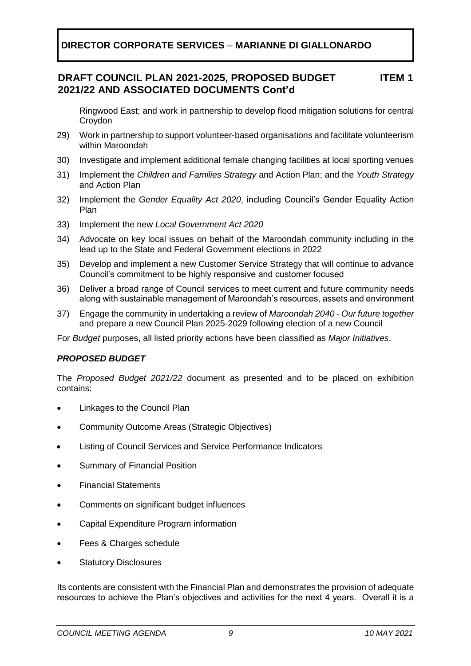#### **DRAFT COUNCIL PLAN 2021-2025, PROPOSED BUDGET 2021/22 AND ASSOCIATED DOCUMENTS Cont'd ITEM 1**

Ringwood East; and work in partnership to develop flood mitigation solutions for central Croydon

- 29) Work in partnership to support volunteer-based organisations and facilitate volunteerism within Maroondah
- 30) Investigate and implement additional female changing facilities at local sporting venues
- 31) Implement the *Children and Families Strategy* and Action Plan; and the *Youth Strategy* and Action Plan
- 32) Implement the *Gender Equality Act 2020*, including Council's Gender Equality Action Plan
- 33) Implement the new *Local Government Act 2020*
- 34) Advocate on key local issues on behalf of the Maroondah community including in the lead up to the State and Federal Government elections in 2022
- 35) Develop and implement a new Customer Service Strategy that will continue to advance Council's commitment to be highly responsive and customer focused
- 36) Deliver a broad range of Council services to meet current and future community needs along with sustainable management of Maroondah's resources, assets and environment
- 37) Engage the community in undertaking a review of *Maroondah 2040 - Our future together*  and prepare a new Council Plan 2025-2029 following election of a new Council

For *Budget* purposes, all listed priority actions have been classified as *Major Initiatives*.

# *PROPOSED BUDGET*

The *Proposed Budget 2021/22* document as presented and to be placed on exhibition contains:

- Linkages to the Council Plan
- Community Outcome Areas (Strategic Objectives)
- Listing of Council Services and Service Performance Indicators
- Summary of Financial Position
- Financial Statements
- Comments on significant budget influences
- Capital Expenditure Program information
- Fees & Charges schedule
- **Statutory Disclosures**

Its contents are consistent with the Financial Plan and demonstrates the provision of adequate resources to achieve the Plan's objectives and activities for the next 4 years. Overall it is a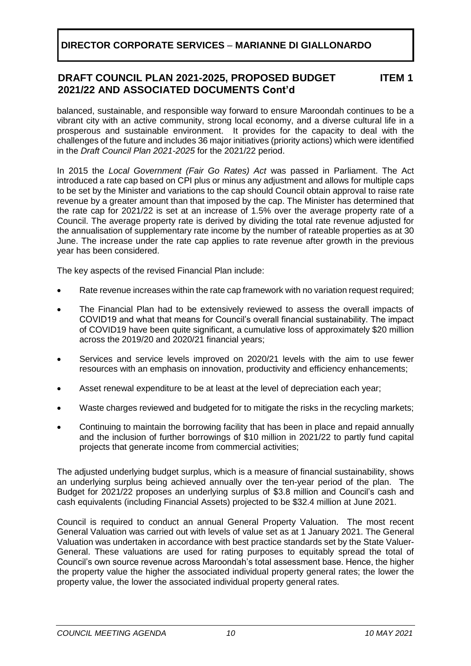#### **DRAFT COUNCIL PLAN 2021-2025, PROPOSED BUDGET 2021/22 AND ASSOCIATED DOCUMENTS Cont'd ITEM 1**

balanced, sustainable, and responsible way forward to ensure Maroondah continues to be a vibrant city with an active community, strong local economy, and a diverse cultural life in a prosperous and sustainable environment. It provides for the capacity to deal with the challenges of the future and includes 36 major initiatives (priority actions) which were identified in the *Draft Council Plan 2021-2025* for the 2021/22 period.

In 2015 the *Local Government (Fair Go Rates) Act* was passed in Parliament. The Act introduced a rate cap based on CPI plus or minus any adjustment and allows for multiple caps to be set by the Minister and variations to the cap should Council obtain approval to raise rate revenue by a greater amount than that imposed by the cap. The Minister has determined that the rate cap for 2021/22 is set at an increase of 1.5% over the average property rate of a Council. The average property rate is derived by dividing the total rate revenue adjusted for the annualisation of supplementary rate income by the number of rateable properties as at 30 June. The increase under the rate cap applies to rate revenue after growth in the previous year has been considered.

The key aspects of the revised Financial Plan include:

- Rate revenue increases within the rate cap framework with no variation request required;
- The Financial Plan had to be extensively reviewed to assess the overall impacts of COVID19 and what that means for Council's overall financial sustainability. The impact of COVID19 have been quite significant, a cumulative loss of approximately \$20 million across the 2019/20 and 2020/21 financial years;
- Services and service levels improved on 2020/21 levels with the aim to use fewer resources with an emphasis on innovation, productivity and efficiency enhancements;
- Asset renewal expenditure to be at least at the level of depreciation each year;
- Waste charges reviewed and budgeted for to mitigate the risks in the recycling markets;
- Continuing to maintain the borrowing facility that has been in place and repaid annually and the inclusion of further borrowings of \$10 million in 2021/22 to partly fund capital projects that generate income from commercial activities;

The adjusted underlying budget surplus, which is a measure of financial sustainability, shows an underlying surplus being achieved annually over the ten-year period of the plan. The Budget for 2021/22 proposes an underlying surplus of \$3.8 million and Council's cash and cash equivalents (including Financial Assets) projected to be \$32.4 million at June 2021.

Council is required to conduct an annual General Property Valuation. The most recent General Valuation was carried out with levels of value set as at 1 January 2021. The General Valuation was undertaken in accordance with best practice standards set by the State Valuer-General. These valuations are used for rating purposes to equitably spread the total of Council's own source revenue across Maroondah's total assessment base. Hence, the higher the property value the higher the associated individual property general rates; the lower the property value, the lower the associated individual property general rates.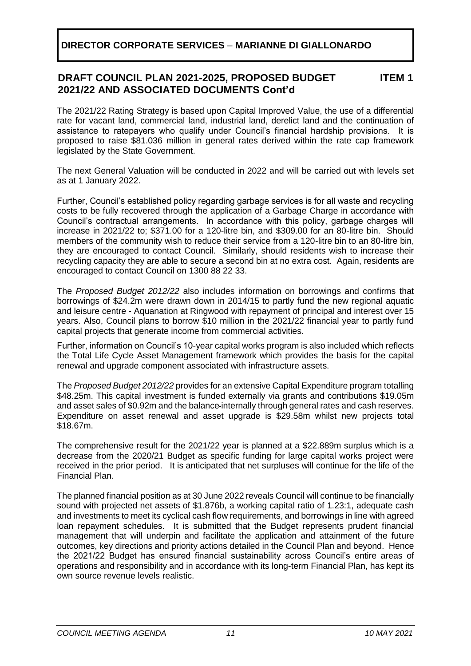#### **DRAFT COUNCIL PLAN 2021-2025, PROPOSED BUDGET 2021/22 AND ASSOCIATED DOCUMENTS Cont'd ITEM 1**

The 2021/22 Rating Strategy is based upon Capital Improved Value, the use of a differential rate for vacant land, commercial land, industrial land, derelict land and the continuation of assistance to ratepayers who qualify under Council's financial hardship provisions. It is proposed to raise \$81.036 million in general rates derived within the rate cap framework legislated by the State Government.

The next General Valuation will be conducted in 2022 and will be carried out with levels set as at 1 January 2022.

Further, Council's established policy regarding garbage services is for all waste and recycling costs to be fully recovered through the application of a Garbage Charge in accordance with Council's contractual arrangements. In accordance with this policy, garbage charges will increase in 2021/22 to; \$371.00 for a 120-litre bin, and \$309.00 for an 80-litre bin. Should members of the community wish to reduce their service from a 120-litre bin to an 80-litre bin, they are encouraged to contact Council. Similarly, should residents wish to increase their recycling capacity they are able to secure a second bin at no extra cost. Again, residents are encouraged to contact Council on 1300 88 22 33.

The *Proposed Budget 2012/22* also includes information on borrowings and confirms that borrowings of \$24.2m were drawn down in 2014/15 to partly fund the new regional aquatic and leisure centre - Aquanation at Ringwood with repayment of principal and interest over 15 years. Also, Council plans to borrow \$10 million in the 2021/22 financial year to partly fund capital projects that generate income from commercial activities.

Further, information on Council's 10-year capital works program is also included which reflects the Total Life Cycle Asset Management framework which provides the basis for the capital renewal and upgrade component associated with infrastructure assets.

The *Proposed Budget 2012/22* provides for an extensive Capital Expenditure program totalling \$48.25m. This capital investment is funded externally via grants and contributions \$19.05m and asset sales of \$0.92m and the balance internally through general rates and cash reserves. Expenditure on asset renewal and asset upgrade is \$29.58m whilst new projects total \$18.67m.

The comprehensive result for the 2021/22 year is planned at a \$22.889m surplus which is a decrease from the 2020/21 Budget as specific funding for large capital works project were received in the prior period. It is anticipated that net surpluses will continue for the life of the Financial Plan.

The planned financial position as at 30 June 2022 reveals Council will continue to be financially sound with projected net assets of \$1.876b, a working capital ratio of 1.23:1, adequate cash and investments to meet its cyclical cash flow requirements, and borrowings in line with agreed loan repayment schedules. It is submitted that the Budget represents prudent financial management that will underpin and facilitate the application and attainment of the future outcomes, key directions and priority actions detailed in the Council Plan and beyond. Hence the 2021/22 Budget has ensured financial sustainability across Council's entire areas of operations and responsibility and in accordance with its long-term Financial Plan, has kept its own source revenue levels realistic.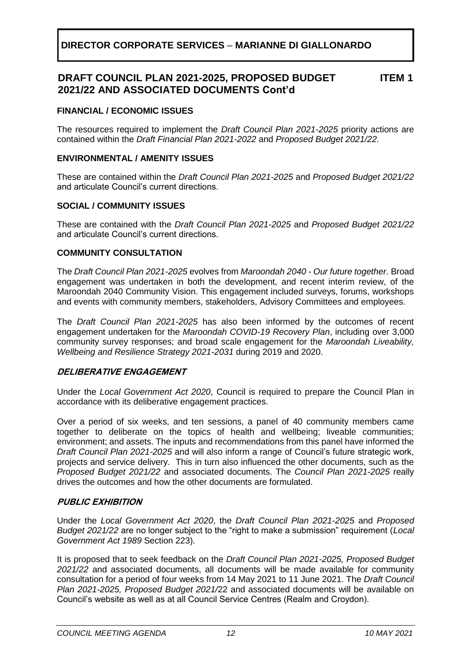#### **DRAFT COUNCIL PLAN 2021-2025, PROPOSED BUDGET 2021/22 AND ASSOCIATED DOCUMENTS Cont'd ITEM 1**

# **FINANCIAL / ECONOMIC ISSUES**

The resources required to implement the *Draft Council Plan 2021-2025* priority actions are contained within the *Draft Financial Plan 2021-2022* and *Proposed Budget 2021/22*.

### **ENVIRONMENTAL / AMENITY ISSUES**

These are contained within the *Draft Council Plan 2021-2025* and *Proposed Budget 2021/22*  and articulate Council's current directions.

## **SOCIAL / COMMUNITY ISSUES**

These are contained with the *Draft Council Plan 2021-2025* and *Proposed Budget 2021/22*  and articulate Council's current directions.

### **COMMUNITY CONSULTATION**

The *Draft Council Plan 2021-2025* evolves from *Maroondah 2040 - Our future together*. Broad engagement was undertaken in both the development, and recent interim review, of the Maroondah 2040 Community Vision. This engagement included surveys, forums, workshops and events with community members, stakeholders, Advisory Committees and employees.

The *Draft Council Plan 2021-2025* has also been informed by the outcomes of recent engagement undertaken for the *Maroondah COVID-19 Recovery Plan*, including over 3,000 community survey responses; and broad scale engagement for the *Maroondah Liveability, Wellbeing and Resilience Strategy 2021-2031* during 2019 and 2020.

## **DELIBERATIVE ENGAGEMENT**

Under the *Local Government Act 2020*, Council is required to prepare the Council Plan in accordance with its deliberative engagement practices.

Over a period of six weeks, and ten sessions, a panel of 40 community members came together to deliberate on the topics of health and wellbeing; liveable communities; environment; and assets. The inputs and recommendations from this panel have informed the *Draft Council Plan 2021-2025* and will also inform a range of Council's future strategic work, projects and service delivery. This in turn also influenced the other documents, such as the *Proposed Budget 2021/22* and associated documents. The *Council Plan 2021-2025* really drives the outcomes and how the other documents are formulated.

## **PUBLIC EXHIBITION**

Under the *Local Government Act 2020*, the *Draft Council Plan 2021-2025* and *Proposed Budget 2021/22* are no longer subject to the "right to make a submission" requirement (*Local Government Act 1989* Section 223).

It is proposed that to seek feedback on the *Draft Council Plan 2021-2025, Proposed Budget 2021/22* and associated documents, all documents will be made available for community consultation for a period of four weeks from 14 May 2021 to 11 June 2021. The *Draft Council Plan 2021-2025, Proposed Budget 2021/*22 and associated documents will be available on Council's website as well as at all Council Service Centres (Realm and Croydon).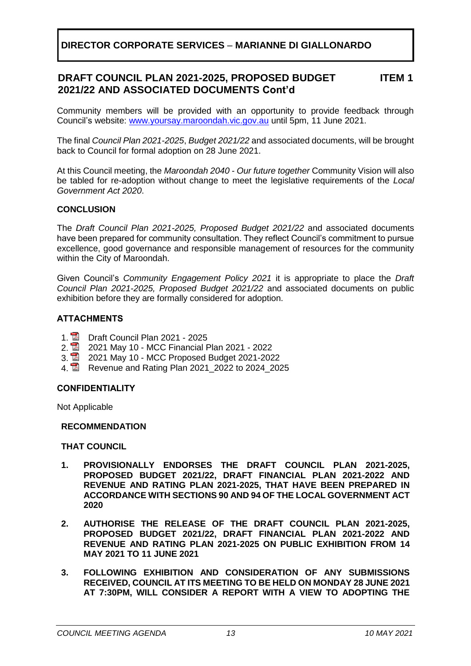#### **DRAFT COUNCIL PLAN 2021-2025, PROPOSED BUDGET 2021/22 AND ASSOCIATED DOCUMENTS Cont'd ITEM 1**

Community members will be provided with an opportunity to provide feedback through Council's website: [www.yoursay.maroondah.vic.gov.au](http://www.yoursay.maroondah.vic.gov.au/) until 5pm, 11 June 2021.

The final *Council Plan 2021-2025*, *Budget 2021/22* and associated documents, will be brought back to Council for formal adoption on 28 June 2021.

At this Council meeting, the *Maroondah 2040 - Our future together* Community Vision will also be tabled for re-adoption without change to meet the legislative requirements of the *Local Government Act 2020*.

# **CONCLUSION**

The *Draft Council Plan 2021-2025, Proposed Budget 2021/22* and associated documents have been prepared for community consultation. They reflect Council's commitment to pursue excellence, good governance and responsible management of resources for the community within the City of Maroondah.

Given Council's *Community Engagement Policy 2021* it is appropriate to place the *Draft Council Plan 2021-2025, Proposed Budget 2021/22* and associated documents on public exhibition before they are formally considered for adoption.

# **ATTACHMENTS**

- 1. **D** Draft Council Plan 2021 2025<br>2. **D** 2021 May 10 MCC Financial F
- 
- 2. 2021 May 10 MCC Financial Plan 2021 2022<br>3. 2021 May 10 MCC Proposed Budget 2021-202 3. 2021 May 10 - MCC Proposed Budget 2021-2022
- 4. Revenue and Rating Plan 2021\_2022 to 2024\_2025

## **CONFIDENTIALITY**

Not Applicable

## **RECOMMENDATION**

## **THAT COUNCIL**

- **1. PROVISIONALLY ENDORSES THE DRAFT COUNCIL PLAN 2021-2025, PROPOSED BUDGET 2021/22, DRAFT FINANCIAL PLAN 2021-2022 AND REVENUE AND RATING PLAN 2021-2025, THAT HAVE BEEN PREPARED IN ACCORDANCE WITH SECTIONS 90 AND 94 OF THE LOCAL GOVERNMENT ACT 2020**
- **2. AUTHORISE THE RELEASE OF THE DRAFT COUNCIL PLAN 2021-2025, PROPOSED BUDGET 2021/22, DRAFT FINANCIAL PLAN 2021-2022 AND REVENUE AND RATING PLAN 2021-2025 ON PUBLIC EXHIBITION FROM 14 MAY 2021 TO 11 JUNE 2021**
- **3. FOLLOWING EXHIBITION AND CONSIDERATION OF ANY SUBMISSIONS RECEIVED, COUNCIL AT ITS MEETING TO BE HELD ON MONDAY 28 JUNE 2021 AT 7:30PM, WILL CONSIDER A REPORT WITH A VIEW TO ADOPTING THE**